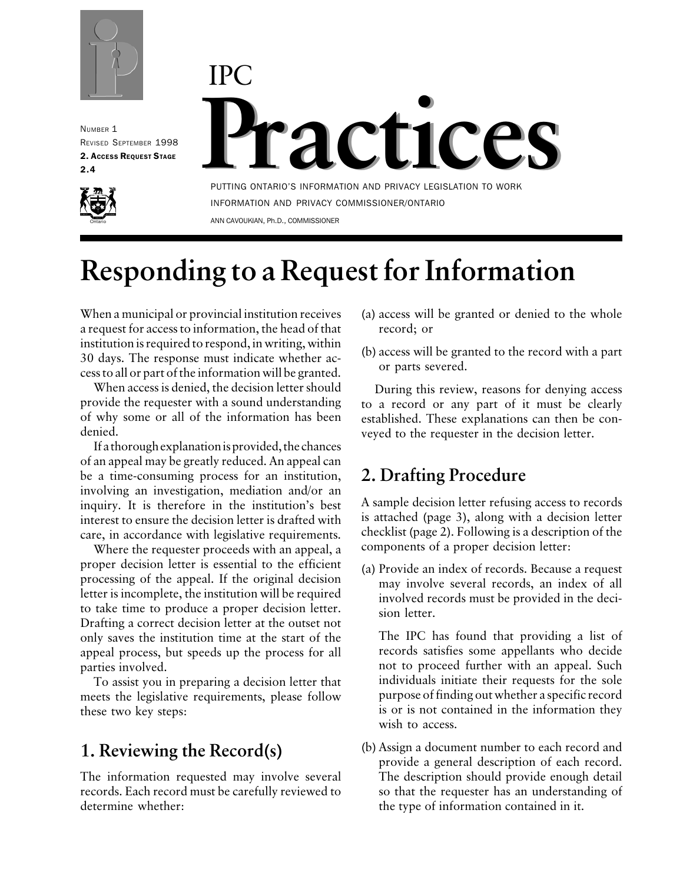

NUMBER 1 REVISED SEPTEMBER 1998 2. ACCESS REQUEST STAGE 2.4



# **Practices Practices** IPC

PUTTING ONTARIO'S INFORMATION AND PRIVACY LEGISLATION TO WORK INFORMATION AND PRIVACY COMMISSIONER/ONTARIO ANN CAVOUKIAN, Ph.D., COMMISSIONER

# **Responding to a Request for Information**

When a municipal or provincial institution receives a request for access to information, the head of that institution is required to respond, in writing, within 30 days. The response must indicate whether access to all or part of the information will be granted.

When access is denied, the decision letter should provide the requester with a sound understanding of why some or all of the information has been denied.

If a thorough explanation is provided, the chances of an appeal may be greatly reduced. An appeal can be a time-consuming process for an institution, involving an investigation, mediation and/or an inquiry. It is therefore in the institution's best interest to ensure the decision letter is drafted with care, in accordance with legislative requirements.

Where the requester proceeds with an appeal, a proper decision letter is essential to the efficient processing of the appeal. If the original decision letter is incomplete, the institution will be required to take time to produce a proper decision letter. Drafting a correct decision letter at the outset not only saves the institution time at the start of the appeal process, but speeds up the process for all parties involved.

To assist you in preparing a decision letter that meets the legislative requirements, please follow these two key steps:

# **1. Reviewing the Record(s)**

The information requested may involve several records. Each record must be carefully reviewed to determine whether:

- (a) access will be granted or denied to the whole record; or
- (b) access will be granted to the record with a part or parts severed.

During this review, reasons for denying access to a record or any part of it must be clearly established. These explanations can then be conveyed to the requester in the decision letter.

# **2. Drafting Procedure**

A sample decision letter refusing access to records is attached (page 3), along with a decision letter checklist (page 2). Following is a description of the components of a proper decision letter:

(a) Provide an index of records. Because a request may involve several records, an index of all involved records must be provided in the decision letter.

The IPC has found that providing a list of records satisfies some appellants who decide not to proceed further with an appeal. Such individuals initiate their requests for the sole purpose of finding out whether a specific record is or is not contained in the information they wish to access.

(b) Assign a document number to each record and provide a general description of each record. The description should provide enough detail so that the requester has an understanding of the type of information contained in it.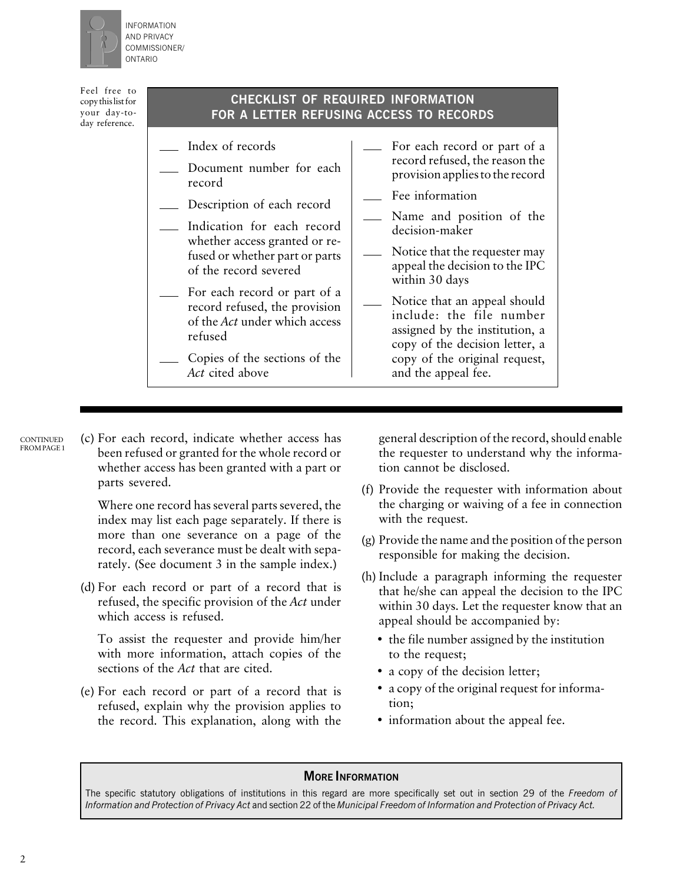

INFORMATION AND PRIVACY COMMISSIONER/ ONTARIO

Feel free to copy this list for your day-today reference.

#### **CHECKLIST OF REQUIRED INFORMATION FOR A LETTER REFUSING ACCESS TO RECORDS**

- Index of records
- Document number for each record
- Description of each record
- Indication for each record whether access granted or refused or whether part or parts of the record severed
- For each record or part of a record refused, the provision of the *Act* under which access refused
- Copies of the sections of the *Act* cited above
- For each record or part of a record refused, the reason the provision applies to the record
- Fee information
- Name and position of the decision-maker
- Notice that the requester may  $\overline{\phantom{0}}$ appeal the decision to the IPC within 30 days
- Notice that an appeal should include: the file number assigned by the institution, a copy of the decision letter, a copy of the original request, and the appeal fee.

- **CONTINUED** FROM PAGE 1
- (c) For each record, indicate whether access has been refused or granted for the whole record or whether access has been granted with a part or parts severed.

Where one record has several parts severed, the index may list each page separately. If there is more than one severance on a page of the record, each severance must be dealt with separately. (See document 3 in the sample index.)

(d) For each record or part of a record that is refused, the specific provision of the *Act* under which access is refused.

To assist the requester and provide him/her with more information, attach copies of the sections of the *Act* that are cited.

(e) For each record or part of a record that is refused, explain why the provision applies to the record. This explanation, along with the

general description of the record, should enable the requester to understand why the information cannot be disclosed.

- (f) Provide the requester with information about the charging or waiving of a fee in connection with the request.
- (g) Provide the name and the position of the person responsible for making the decision.
- (h) Include a paragraph informing the requester that he/she can appeal the decision to the IPC within 30 days. Let the requester know that an appeal should be accompanied by:
	- the file number assigned by the institution to the request;
	- a copy of the decision letter;
	- a copy of the original request for information;
	- information about the appeal fee.

#### **MORE INFORMATION**

The specific statutory obligations of institutions in this regard are more specifically set out in section 29 of the *Freedom of Information and Protection of Privacy Act* and section 22 of the *Municipal Freedom of Information and Protection of Privacy Act.*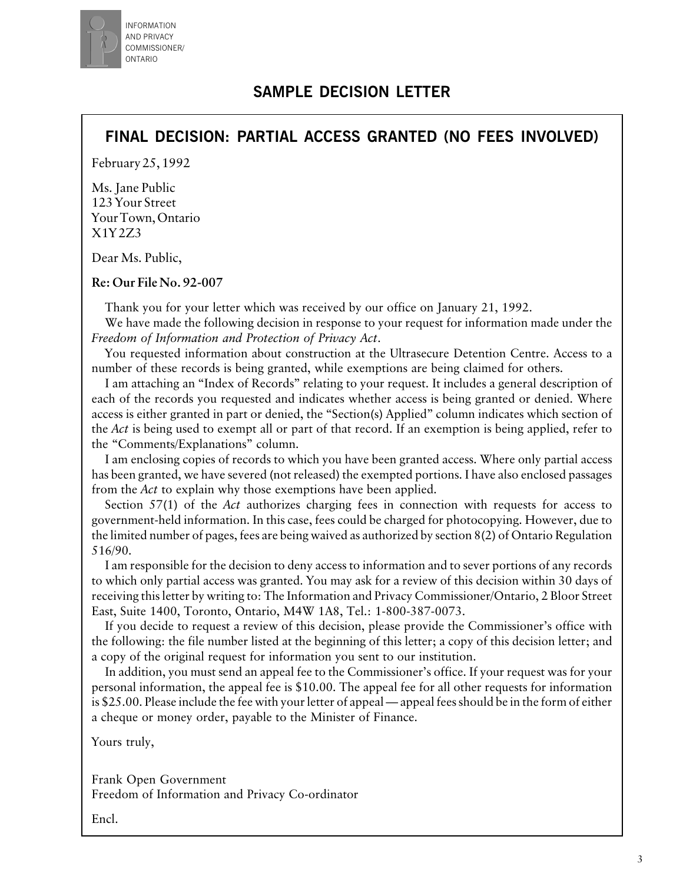

## **SAMPLE DECISION LETTER**

### **FINAL DECISION: PARTIAL ACCESS GRANTED (NO FEES INVOLVED)**

February 25, 1992

Ms. Jane Public 123 Your Street Your Town, Ontario X1Y 2Z3

Dear Ms. Public,

**Re: Our File No. 92-007**

Thank you for your letter which was received by our office on January 21, 1992.

We have made the following decision in response to your request for information made under the *Freedom of Information and Protection of Privacy Act*.

You requested information about construction at the Ultrasecure Detention Centre. Access to a number of these records is being granted, while exemptions are being claimed for others.

I am attaching an "Index of Records" relating to your request. It includes a general description of each of the records you requested and indicates whether access is being granted or denied. Where access is either granted in part or denied, the "Section(s) Applied" column indicates which section of the *Act* is being used to exempt all or part of that record. If an exemption is being applied, refer to the "Comments/Explanations" column.

I am enclosing copies of records to which you have been granted access. Where only partial access has been granted, we have severed (not released) the exempted portions. I have also enclosed passages from the *Act* to explain why those exemptions have been applied.

Section 57(1) of the *Act* authorizes charging fees in connection with requests for access to government-held information. In this case, fees could be charged for photocopying. However, due to the limited number of pages, fees are being waived as authorized by section 8(2) of Ontario Regulation 516/90.

I am responsible for the decision to deny access to information and to sever portions of any records to which only partial access was granted. You may ask for a review of this decision within 30 days of receiving this letter by writing to: The Information and Privacy Commissioner/Ontario, 2 Bloor Street East, Suite 1400, Toronto, Ontario, M4W 1A8, Tel.: 1-800-387-0073.

If you decide to request a review of this decision, please provide the Commissioner's office with the following: the file number listed at the beginning of this letter; a copy of this decision letter; and a copy of the original request for information you sent to our institution.

In addition, you must send an appeal fee to the Commissioner's office. If your request was for your personal information, the appeal fee is \$10.00. The appeal fee for all other requests for information is \$25.00. Please include the fee with your letter of appeal — appeal fees should be in the form of either a cheque or money order, payable to the Minister of Finance.

Yours truly,

Frank Open Government Freedom of Information and Privacy Co-ordinator

Encl.